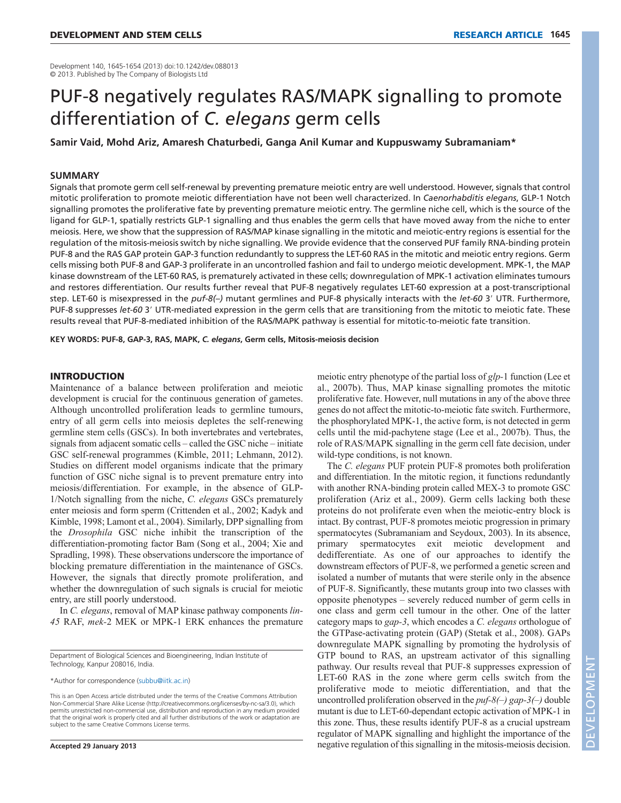Development 140, 1645-1654 (2013) doi:10.1242/dev.088013 © 2013. Published by The Company of Biologists Ltd

# PUF-8 negatively regulates RAS/MAPK signalling to promote differentiation of *C. elegans* germ cells

**Samir Vaid, Mohd Ariz, Amaresh Chaturbedi, Ganga Anil Kumar and Kuppuswamy Subramaniam\***

## **SUMMARY**

Signals that promote germ cell self-renewal by preventing premature meiotic entry are well understood. However, signals that control mitotic proliferation to promote meiotic differentiation have not been well characterized. In *Caenorhabditis elegans*, GLP-1 Notch signalling promotes the proliferative fate by preventing premature meiotic entry. The germline niche cell, which is the source of the ligand for GLP-1, spatially restricts GLP-1 signalling and thus enables the germ cells that have moved away from the niche to enter meiosis. Here, we show that the suppression of RAS/MAP kinase signalling in the mitotic and meiotic-entry regions is essential for the regulation of the mitosis-meiosis switch by niche signalling. We provide evidence that the conserved PUF family RNA-binding protein PUF-8 and the RAS GAP protein GAP-3 function redundantly to suppress the LET-60 RAS in the mitotic and meiotic entry regions. Germ cells missing both PUF-8 and GAP-3 proliferate in an uncontrolled fashion and fail to undergo meiotic development. MPK-1, the MAP kinase downstream of the LET-60 RAS, is prematurely activated in these cells; downregulation of MPK-1 activation eliminates tumours and restores differentiation. Our results further reveal that PUF-8 negatively regulates LET-60 expression at a post-transcriptional step. LET-60 is misexpressed in the puf-8(-) mutant germlines and PUF-8 physically interacts with the *let-60* 3' UTR. Furthermore, PUF-8 suppresses let-60 3' UTR-mediated expression in the germ cells that are transitioning from the mitotic to meiotic fate. These results reveal that PUF-8-mediated inhibition of the RAS/MAPK pathway is essential for mitotic-to-meiotic fate transition.

**KEY WORDS: PUF-8, GAP-3, RAS, MAPK,** *C. elegans***, Germ cells, Mitosis-meiosis decision**

# INTRODUCTION

Maintenance of a balance between proliferation and meiotic development is crucial for the continuous generation of gametes. Although uncontrolled proliferation leads to germline tumours, entry of all germ cells into meiosis depletes the self-renewing germline stem cells (GSCs). In both invertebrates and vertebrates, signals from adjacent somatic cells – called the GSC niche – initiate GSC self-renewal programmes (Kimble, 2011; Lehmann, 2012). Studies on different model organisms indicate that the primary function of GSC niche signal is to prevent premature entry into meiosis/differentiation. For example, in the absence of GLP-1/Notch signalling from the niche, *C. elegans* GSCs prematurely enter meiosis and form sperm (Crittenden et al., 2002; Kadyk and Kimble, 1998; Lamont et al., 2004). Similarly, DPP signalling from the *Drosophila* GSC niche inhibit the transcription of the differentiation-promoting factor Bam (Song et al., 2004; Xie and Spradling, 1998). These observations underscore the importance of blocking premature differentiation in the maintenance of GSCs. However, the signals that directly promote proliferation, and whether the downregulation of such signals is crucial for meiotic entry, are still poorly understood.

In *C. elegans*, removal of MAP kinase pathway components *lin-45* RAF, *mek-*2 MEK or MPK-1 ERK enhances the premature

Department of Biological Sciences and Bioengineering, Indian Institute of Technology, Kanpur 208016, India.

\*Author for correspondence (subbu@iitk.ac.in)

This is an Open Access article distributed under the terms of the Creative Commons Attribution Non-Commercial Share Alike License (http://creativecommons.org/licenses/by-nc-sa/3.0), which permits unrestricted non-commercial use, distribution and reproduction in any medium provided that the original work is properly cited and all further distributions of the work or adaptation are subject to the same Creative Commons License terms.

meiotic entry phenotype of the partial loss of *glp-*1 function (Lee et al., 2007b). Thus, MAP kinase signalling promotes the mitotic proliferative fate. However, null mutations in any of the above three genes do not affect the mitotic-to-meiotic fate switch. Furthermore, the phosphorylated MPK-1, the active form, is not detected in germ cells until the mid-pachytene stage (Lee et al., 2007b). Thus, the role of RAS/MAPK signalling in the germ cell fate decision, under wild-type conditions, is not known.

The *C. elegans* PUF protein PUF-8 promotes both proliferation and differentiation. In the mitotic region, it functions redundantly with another RNA-binding protein called MEX-3 to promote GSC proliferation (Ariz et al., 2009). Germ cells lacking both these proteins do not proliferate even when the meiotic-entry block is intact. By contrast, PUF-8 promotes meiotic progression in primary spermatocytes (Subramaniam and Seydoux, 2003). In its absence, primary spermatocytes exit meiotic development and dedifferentiate. As one of our approaches to identify the downstream effectors of PUF-8, we performed a genetic screen and isolated a number of mutants that were sterile only in the absence of PUF-8. Significantly, these mutants group into two classes with opposite phenotypes – severely reduced number of germ cells in one class and germ cell tumour in the other. One of the latter category maps to *gap-3*, which encodes a *C. elegans* orthologue of the GTPase-activating protein (GAP) (Stetak et al., 2008). GAPs downregulate MAPK signalling by promoting the hydrolysis of GTP bound to RAS, an upstream activator of this signalling pathway. Our results reveal that PUF-8 suppresses expression of LET-60 RAS in the zone where germ cells switch from the proliferative mode to meiotic differentiation, and that the uncontrolled proliferation observed in the *puf-8(–) gap-3(–)* double mutant is due to LET-60-dependant ectopic activation of MPK-1 in this zone. Thus, these results identify PUF-8 as a crucial upstream regulator of MAPK signalling and highlight the importance of the negative regulation of this signalling in the mitosis-meiosis decision.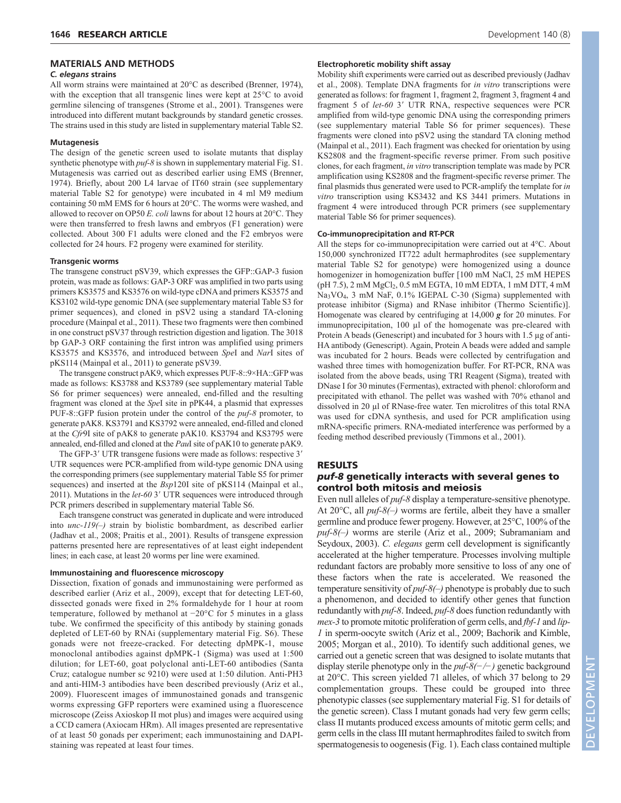#### **MATERIALS AND METHODS**

#### *C. elegans* **strains**

All worm strains were maintained at 20°C as described (Brenner, 1974), with the exception that all transgenic lines were kept at 25<sup>o</sup>C to avoid germline silencing of transgenes (Strome et al., 2001). Transgenes were introduced into different mutant backgrounds by standard genetic crosses. The strains used in this study are listed in supplementary material Table S2.

#### **Mutagenesis**

The design of the genetic screen used to isolate mutants that display synthetic phenotype with *puf-8* is shown in supplementary material Fig. S1. Mutagenesis was carried out as described earlier using EMS (Brenner, 1974). Briefly, about 200 L4 larvae of IT60 strain (see supplementary material Table S2 for genotype) were incubated in 4 ml M9 medium containing 50 mM EMS for 6 hours at 20°C. The worms were washed, and allowed to recover on OP50 *E. coli* lawns for about 12 hours at 20°C. They were then transferred to fresh lawns and embryos (F1 generation) were collected. About 300 F1 adults were cloned and the F2 embryos were collected for 24 hours. F2 progeny were examined for sterility.

#### **Transgenic worms**

The transgene construct pSV39, which expresses the GFP::GAP-3 fusion protein, was made as follows: GAP-3 ORF was amplified in two parts using primers KS3575 and KS3576 on wild-type cDNA and primers KS3575 and KS3102 wild-type genomic DNA (see supplementary material Table S3 for primer sequences), and cloned in pSV2 using a standard TA-cloning procedure (Mainpal et al., 2011). These two fragments were then combined in one construct pSV37 through restriction digestion and ligation. The 3018 bp GAP-3 ORF containing the first intron was amplified using primers KS3575 and KS3576, and introduced between *Spe*I and *Nar*I sites of pKS114 (Mainpal et al., 2011) to generate pSV39.

The transgene construct pAK9, which expresses PUF-8::9×HA::GFP was made as follows: KS3788 and KS3789 (see supplementary material Table S6 for primer sequences) were annealed, end-filled and the resulting fragment was cloned at the *Spe*I site in pPK44, a plasmid that expresses PUF-8::GFP fusion protein under the control of the *puf-8* promoter, to generate pAK8. KS3791 and KS3792 were annealed, end-filled and cloned at the *Cfr*9I site of pAK8 to generate pAK10. KS3794 and KS3795 were annealed, end-filled and cloned at the *Pau*I site of pAK10 to generate pAK9.

The GFP-3' UTR transgene fusions were made as follows: respective 3' UTR sequences were PCR-amplified from wild-type genomic DNA using the corresponding primers (see supplementary material Table S5 for primer sequences) and inserted at the *Bsp*120I site of pKS114 (Mainpal et al., 2011). Mutations in the *let-60* 3' UTR sequences were introduced through PCR primers described in supplementary material Table S6.

Each transgene construct was generated in duplicate and were introduced into *unc-119(–)* strain by biolistic bombardment, as described earlier (Jadhav et al., 2008; Praitis et al., 2001). Results of transgene expression patterns presented here are representatives of at least eight independent lines; in each case, at least 20 worms per line were examined.

## **Immunostaining and fluorescence microscopy**

Dissection, fixation of gonads and immunostaining were performed as described earlier (Ariz et al., 2009), except that for detecting LET-60, dissected gonads were fixed in 2% formaldehyde for 1 hour at room temperature, followed by methanol at −20°C for 5 minutes in a glass tube. We confirmed the specificity of this antibody by staining gonads depleted of LET-60 by RNAi (supplementary material Fig. S6). These gonads were not freeze-cracked. For detecting dpMPK-1, mouse monoclonal antibodies against dpMPK-1 (Sigma) was used at 1:500 dilution; for LET-60, goat polyclonal anti-LET-60 antibodies (Santa Cruz; catalogue number sc 9210) were used at 1:50 dilution. Anti-PH3 and anti-HIM-3 antibodies have been described previously (Ariz et al., 2009). Fluorescent images of immunostained gonads and transgenic worms expressing GFP reporters were examined using a fluorescence microscope (Zeiss Axioskop II mot plus) and images were acquired using a CCD camera (Axiocam HRm). All images presented are representative of at least 50 gonads per experiment; each immunostaining and DAPIstaining was repeated at least four times.

## **Electrophoretic mobility shift assay**

Mobility shift experiments were carried out as described previously (Jadhav et al., 2008). Template DNA fragments for *in vitro* transcriptions were generated as follows: for fragment 1, fragment 2, fragment 3, fragment 4 and fragment 5 of *let-60* 3' UTR RNA, respective sequences were PCR amplified from wild-type genomic DNA using the corresponding primers (see supplementary material Table S6 for primer sequences). These fragments were cloned into pSV2 using the standard TA cloning method (Mainpal et al., 2011). Each fragment was checked for orientation by using KS2808 and the fragment-specific reverse primer. From such positive clones, for each fragment, *in vitro* transcription template was made by PCR amplification using KS2808 and the fragment-specific reverse primer. The final plasmids thus generated were used to PCR-amplify the template for *in vitro* transcription using KS3432 and KS 3441 primers. Mutations in fragment 4 were introduced through PCR primers (see supplementary material Table S6 for primer sequences).

## **Co-immunoprecipitation and RT-PCR**

All the steps for co-immunoprecipitation were carried out at 4°C. About 150,000 synchronized IT722 adult hermaphrodites (see supplementary material Table S2 for genotype) were homogenized using a dounce homogenizer in homogenization buffer [100 mM NaCl, 25 mM HEPES (pH 7.5), 2 mM MgCl<sub>2</sub>, 0.5 mM EGTA, 10 mM EDTA, 1 mM DTT, 4 mM Na3VO4, 3 mM NaF, 0.1% IGEPAL C-30 (Sigma) supplemented with protease inhibitor (Sigma) and RNase inhibitor (Thermo Scientific)]. Homogenate was cleared by centrifuging at 14,000 *g* for 20 minutes. For immunoprecipitation, 100 µl of the homogenate was pre-cleared with Protein A beads (Genescript) and incubated for 3 hours with 1.5 µg of anti-HA antibody (Genescript). Again, Protein A beads were added and sample was incubated for 2 hours. Beads were collected by centrifugation and washed three times with homogenization buffer. For RT-PCR, RNA was isolated from the above beads, using TRI Reagent (Sigma), treated with DNase I for 30 minutes (Fermentas), extracted with phenol: chloroform and precipitated with ethanol. The pellet was washed with 70% ethanol and dissolved in 20 µl of RNase-free water. Ten microlitres of this total RNA was used for cDNA synthesis, and used for PCR amplification using mRNA-specific primers. RNA-mediated interference was performed by a feeding method described previously (Timmons et al., 2001).

#### RESULTS

# *puf-8* genetically interacts with several genes to control both mitosis and meiosis

Even null alleles of *puf-8* display a temperature-sensitive phenotype. At 20°C, all *puf-8(–)* worms are fertile, albeit they have a smaller germline and produce fewer progeny. However, at 25°C, 100% of the *puf-8(–)* worms are sterile (Ariz et al., 2009; Subramaniam and Seydoux, 2003). *C. elegans* germ cell development is significantly accelerated at the higher temperature. Processes involving multiple redundant factors are probably more sensitive to loss of any one of these factors when the rate is accelerated. We reasoned the temperature sensitivity of *puf-8(–)* phenotype is probably due to such a phenomenon, and decided to identify other genes that function redundantly with *puf-8*. Indeed, *puf-8* does function redundantly with *mex-3* to promote mitotic proliferation of germ cells, and *fbf-1* and *lip-1* in sperm-oocyte switch (Ariz et al., 2009; Bachorik and Kimble, 2005; Morgan et al., 2010). To identify such additional genes, we carried out a genetic screen that was designed to isolate mutants that display sterile phenotype only in the *puf-8(−/−)* genetic background at 20°C. This screen yielded 71 alleles, of which 37 belong to 29 complementation groups. These could be grouped into three phenotypic classes (see supplementary material Fig. S1 for details of the genetic screen). Class I mutant gonads had very few germ cells; class II mutants produced excess amounts of mitotic germ cells; and germ cells in the class III mutant hermaphrodites failed to switch from spermatogenesis to oogenesis (Fig. 1). Each class contained multiple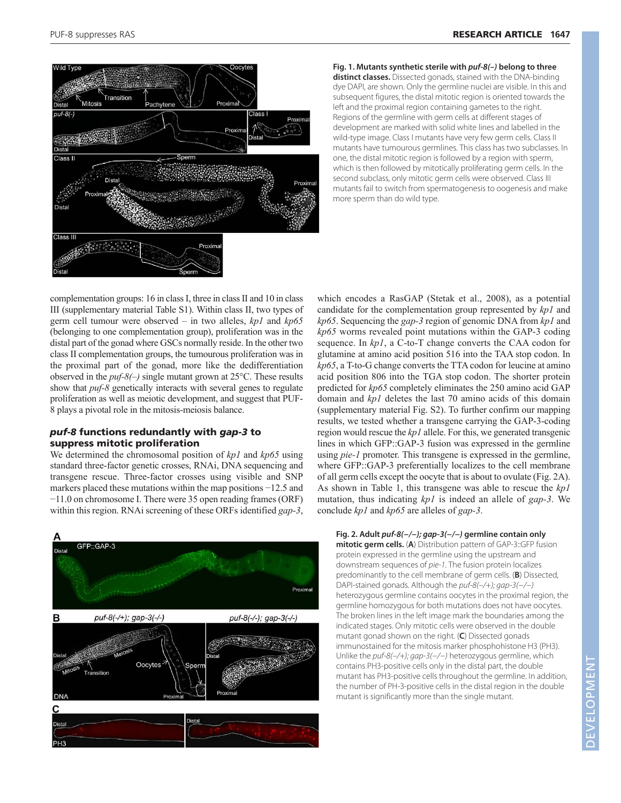

**Fig. 1. Mutants synthetic sterile with puf-8(–) belong to three distinct classes.** Dissected gonads, stained with the DNA-binding dye DAPI, are shown. Only the germline nuclei are visible. In this and subsequent figures, the distal mitotic region is oriented towards the left and the proximal region containing gametes to the right. Regions of the germline with germ cells at different stages of development are marked with solid white lines and labelled in the wild-type image. Class I mutants have very few germ cells. Class II mutants have tumourous germlines. This class has two subclasses. In one, the distal mitotic region is followed by a region with sperm, which is then followed by mitotically proliferating germ cells. In the second subclass, only mitotic germ cells were observed. Class III mutants fail to switch from spermatogenesis to oogenesis and make more sperm than do wild type.

complementation groups: 16 in class I, three in class II and 10 in class III (supplementary material Table S1). Within class II, two types of germ cell tumour were observed – in two alleles, *kp1* and *kp65* (belonging to one complementation group), proliferation was in the distal part of the gonad where GSCs normally reside. In the other two class II complementation groups, the tumourous proliferation was in the proximal part of the gonad, more like the dedifferentiation observed in the *puf-8(–)* single mutant grown at 25°C. These results show that *puf-8* genetically interacts with several genes to regulate proliferation as well as meiotic development, and suggest that PUF-8 plays a pivotal role in the mitosis-meiosis balance.

# *puf-8* functions redundantly with *gap-3* to suppress mitotic proliferation

We determined the chromosomal position of *kp1* and *kp65* using standard three-factor genetic crosses, RNAi, DNA sequencing and transgene rescue. Three-factor crosses using visible and SNP markers placed these mutations within the map positions −12.5 and −11.0 on chromosome I. There were 35 open reading frames (ORF) within this region. RNAi screening of these ORFs identified *gap-3*,

 $:GAP$ Proxima в puf-8(-/+); gap-3(-/-) puf-8(-/-); gap-3(-/-) Oocytes

which encodes a RasGAP (Stetak et al., 2008), as a potential candidate for the complementation group represented by *kp1* and *kp65*. Sequencing the *gap-3* region of genomic DNA from *kp1* and *kp65* worms revealed point mutations within the GAP-3 coding sequence. In *kp1*, a C-to-T change converts the CAA codon for glutamine at amino acid position 516 into the TAA stop codon. In *kp65*, a T-to-G change converts the TTA codon for leucine at amino acid position 806 into the TGA stop codon. The shorter protein predicted for *kp65* completely eliminates the 250 amino acid GAP domain and *kp1* deletes the last 70 amino acids of this domain (supplementary material Fig. S2). To further confirm our mapping results, we tested whether a transgene carrying the GAP-3-coding region would rescue the *kp1* allele. For this, we generated transgenic lines in which GFP::GAP-3 fusion was expressed in the germline using *pie-1* promoter. This transgene is expressed in the germline, where GFP::GAP-3 preferentially localizes to the cell membrane of all germ cells except the oocyte that is about to ovulate (Fig. 2A). As shown in Table 1, this transgene was able to rescue the *kp1* mutation, thus indicating *kp1* is indeed an allele of *gap-3*. We conclude *kp1* and *kp65* are alleles of *gap-3*.

## **Fig. 2. Adult puf-8(−/−); gap-3(−/−) germline contain only**

**mitotic germ cells.** (**A**) Distribution pattern of GAP-3::GFP fusion protein expressed in the germline using the upstream and downstream sequences of pie-1. The fusion protein localizes predominantly to the cell membrane of germ cells. (**B**) Dissected, DAPI-stained gonads. Although the puf-8(–/+); gap-3(−/−) heterozygous germline contains oocytes in the proximal region, the germline homozygous for both mutations does not have oocytes. The broken lines in the left image mark the boundaries among the indicated stages. Only mitotic cells were observed in the double mutant gonad shown on the right. (**C**) Dissected gonads immunostained for the mitosis marker phosphohistone H3 (PH3). Unlike the puf-8(–/+); gap-3(−/−) heterozygous germline, which contains PH3-positive cells only in the distal part, the double mutant has PH3-positive cells throughout the germline. In addition, the number of PH-3-positive cells in the distal region in the double mutant is significantly more than the single mutant.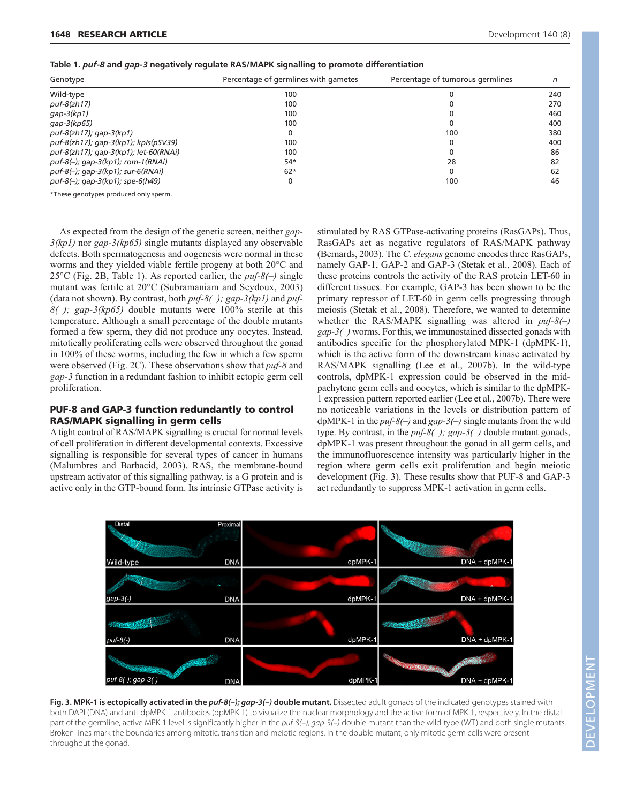| Genotype                                    | Percentage of germlines with gametes | Percentage of tumorous germlines | n   |
|---------------------------------------------|--------------------------------------|----------------------------------|-----|
| Wild-type                                   | 100                                  |                                  | 240 |
| $puf-8(zh17)$                               | 100                                  |                                  | 270 |
| $qap-3(kp1)$                                | 100                                  |                                  | 460 |
| qap-3(kp65)                                 | 100                                  |                                  | 400 |
| $puf-8(zh17)$ ; gap-3(kp1)                  | 0                                    | 100                              | 380 |
| puf-8(zh17); gap-3(kp1); kpls(pSV39)        | 100                                  |                                  | 400 |
| puf-8(zh17); gap-3(kp1); let-60(RNAi)       | 100                                  |                                  | 86  |
| puf-8(-); gap-3(kp1); rom-1(RNAi)           | $54*$                                | 28                               | 82  |
| $puf-8(-)$ ; gap-3(kp1); sur-6(RNAi)        | $62*$                                |                                  | 62  |
| puf-8 $(-)$ ; gap-3 $(kp1)$ ; spe-6 $(h49)$ | 0                                    | 100                              | 46  |
| *These genotypes produced only sperm.       |                                      |                                  |     |

**Table 1.** *puf-8* **and** *gap-3* **negatively regulate RAS/MAPK signalling to promote differentiation**

As expected from the design of the genetic screen, neither *gap-3(kp1)* nor *gap-3(kp65)* single mutants displayed any observable defects. Both spermatogenesis and oogenesis were normal in these worms and they yielded viable fertile progeny at both 20°C and 25°C (Fig. 2B, Table 1). As reported earlier, the *puf-8(–)* single mutant was fertile at 20°C (Subramaniam and Seydoux, 2003) (data not shown). By contrast, both *puf-8(–); gap-3(kp1)* and *puf-8(–); gap-3(kp65)* double mutants were 100% sterile at this temperature. Although a small percentage of the double mutants formed a few sperm, they did not produce any oocytes. Instead, mitotically proliferating cells were observed throughout the gonad in 100% of these worms, including the few in which a few sperm were observed (Fig. 2C). These observations show that *puf-8* and *gap-3* function in a redundant fashion to inhibit ectopic germ cell proliferation.

# PUF-8 and GAP-3 function redundantly to control RAS/MAPK signalling in germ cells

A tight control of RAS/MAPK signalling is crucial for normal levels of cell proliferation in different developmental contexts. Excessive signalling is responsible for several types of cancer in humans (Malumbres and Barbacid, 2003). RAS, the membrane-bound upstream activator of this signalling pathway, is a G protein and is active only in the GTP-bound form. Its intrinsic GTPase activity is stimulated by RAS GTPase-activating proteins (RasGAPs). Thus, RasGAPs act as negative regulators of RAS/MAPK pathway (Bernards, 2003). The *C. elegans* genome encodes three RasGAPs, namely GAP-1, GAP-2 and GAP-3 (Stetak et al., 2008). Each of these proteins controls the activity of the RAS protein LET-60 in different tissues. For example, GAP-3 has been shown to be the primary repressor of LET-60 in germ cells progressing through meiosis (Stetak et al., 2008). Therefore, we wanted to determine whether the RAS/MAPK signalling was altered in *puf-8(–) gap-3(–)* worms. For this, we immunostained dissected gonads with antibodies specific for the phosphorylated MPK-1 (dpMPK-1), which is the active form of the downstream kinase activated by RAS/MAPK signalling (Lee et al., 2007b). In the wild-type controls, dpMPK-1 expression could be observed in the midpachytene germ cells and oocytes, which is similar to the dpMPK-1 expression pattern reported earlier (Lee et al., 2007b). There were no noticeable variations in the levels or distribution pattern of dpMPK-1 in the *puf-8(–)* and *gap-3(–)* single mutants from the wild type. By contrast, in the *puf-8(–); gap-3(–)* double mutant gonads, dpMPK-1 was present throughout the gonad in all germ cells, and the immunofluorescence intensity was particularly higher in the region where germ cells exit proliferation and begin meiotic development (Fig. 3). These results show that PUF-8 and GAP-3 act redundantly to suppress MPK-1 activation in germ cells.



**Fig. 3. MPK-1 is ectopically activated in the puf-8(–); gap-3(–) double mutant.** Dissected adult gonads of the indicated genotypes stained with both DAPI (DNA) and anti-dpMPK-1 antibodies (dpMPK-1) to visualize the nuclear morphology and the active form of MPK-1, respectively. In the distal part of the germline, active MPK-1 level is significantly higher in the puf-8(-); gap-3(-) double mutant than the wild-type (WT) and both single mutants. Broken lines mark the boundaries among mitotic, transition and meiotic regions. In the double mutant, only mitotic germ cells were present throughout the gonad.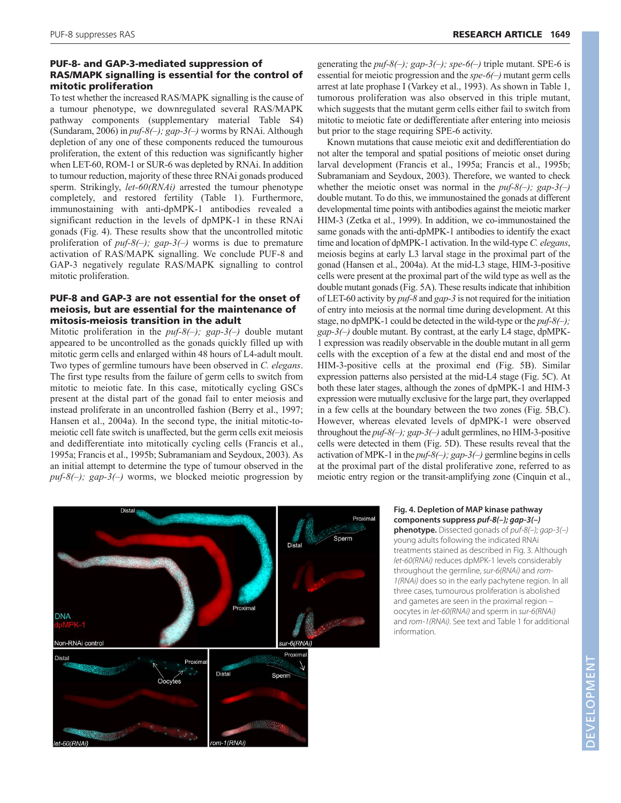# PUF-8- and GAP-3-mediated suppression of RAS/MAPK signalling is essential for the control of mitotic proliferation

To test whether the increased RAS/MAPK signalling is the cause of a tumour phenotype, we downregulated several RAS/MAPK pathway components (supplementary material Table S4) (Sundaram, 2006) in *puf-8(–); gap-3(–)* worms by RNAi. Although depletion of any one of these components reduced the tumourous proliferation, the extent of this reduction was significantly higher when LET-60, ROM-1 or SUR-6 was depleted by RNAi. In addition to tumour reduction, majority of these three RNAi gonads produced sperm. Strikingly, *let-60(RNAi)* arrested the tumour phenotype completely, and restored fertility (Table 1). Furthermore, immunostaining with anti-dpMPK-1 antibodies revealed a significant reduction in the levels of dpMPK-1 in these RNAi gonads (Fig. 4). These results show that the uncontrolled mitotic proliferation of *puf-8(–); gap-3(–)* worms is due to premature activation of RAS/MAPK signalling. We conclude PUF-8 and GAP-3 negatively regulate RAS/MAPK signalling to control mitotic proliferation.

# PUF-8 and GAP-3 are not essential for the onset of meiosis, but are essential for the maintenance of mitosis-meiosis transition in the adult

Mitotic proliferation in the *puf-8(–); gap-3(–)* double mutant appeared to be uncontrolled as the gonads quickly filled up with mitotic germ cells and enlarged within 48 hours of L4-adult moult. Two types of germline tumours have been observed in *C. elegans*. The first type results from the failure of germ cells to switch from mitotic to meiotic fate. In this case, mitotically cycling GSCs present at the distal part of the gonad fail to enter meiosis and instead proliferate in an uncontrolled fashion (Berry et al., 1997; Hansen et al., 2004a). In the second type, the initial mitotic-tomeiotic cell fate switch is unaffected, but the germ cells exit meiosis and dedifferentiate into mitotically cycling cells (Francis et al., 1995a; Francis et al., 1995b; Subramaniam and Seydoux, 2003). As an initial attempt to determine the type of tumour observed in the *puf-8(–); gap-3(–)* worms, we blocked meiotic progression by generating the  $\frac{puf-8(-)}{gap-3(-)}$ ; spe-6(-) triple mutant. SPE-6 is essential for meiotic progression and the *spe-6(–)* mutant germ cells arrest at late prophase I (Varkey et al., 1993). As shown in Table 1, tumorous proliferation was also observed in this triple mutant, which suggests that the mutant germ cells either fail to switch from mitotic to meiotic fate or dedifferentiate after entering into meiosis but prior to the stage requiring SPE-6 activity.

Known mutations that cause meiotic exit and dedifferentiation do not alter the temporal and spatial positions of meiotic onset during larval development (Francis et al., 1995a; Francis et al., 1995b; Subramaniam and Seydoux, 2003). Therefore, we wanted to check whether the meiotic onset was normal in the *puf-8(–); gap-3(–)* double mutant. To do this, we immunostained the gonads at different developmental time points with antibodies against the meiotic marker HIM-3 (Zetka et al., 1999). In addition, we co-immunostained the same gonads with the anti-dpMPK-1 antibodies to identify the exact time and location of dpMPK-1 activation. In the wild-type *C. elegans*, meiosis begins at early L3 larval stage in the proximal part of the gonad (Hansen et al., 2004a). At the mid-L3 stage, HIM-3-positive cells were present at the proximal part of the wild type as well as the double mutant gonads (Fig. 5A). These results indicate that inhibition of LET-60 activity by *puf-8* and *gap-3* is not required for the initiation of entry into meiosis at the normal time during development. At this stage, no dpMPK-1 could be detected in the wild-type or the *puf-8(–); gap-3(–)* double mutant. By contrast, at the early L4 stage, dpMPK-1 expression was readily observable in the double mutant in all germ cells with the exception of a few at the distal end and most of the HIM-3-positive cells at the proximal end (Fig. 5B). Similar expression patterns also persisted at the mid-L4 stage (Fig. 5C). At both these later stages, although the zones of dpMPK-1 and HIM-3 expression were mutually exclusive for the large part, they overlapped in a few cells at the boundary between the two zones (Fig. 5B,C). However, whereas elevated levels of dpMPK-1 were observed throughout the *puf-8(–); gap-3(–)* adult germlines, no HIM-3-positive cells were detected in them (Fig. 5D). These results reveal that the activation of MPK-1 in the *puf-8(–); gap-3(–)* germline begins in cells at the proximal part of the distal proliferative zone, referred to as meiotic entry region or the transit-amplifying zone (Cinquin et al.,



# **Fig. 4. Depletion of MAP kinase pathway components suppress puf-8(–); gap-3(–)**

**phenotype.** Dissected gonads of puf-8(–); gap-3(–) young adults following the indicated RNAi treatments stained as described in Fig. 3. Although let-60(RNAi) reduces dpMPK-1 levels considerably throughout the germline, sur-6(RNAi) and rom-1(RNAi) does so in the early pachytene region. In all three cases, tumourous proliferation is abolished and gametes are seen in the proximal region – oocytes in let-60(RNAi) and sperm in sur-6(RNAi) and rom-1(RNAi). See text and Table 1 for additional information.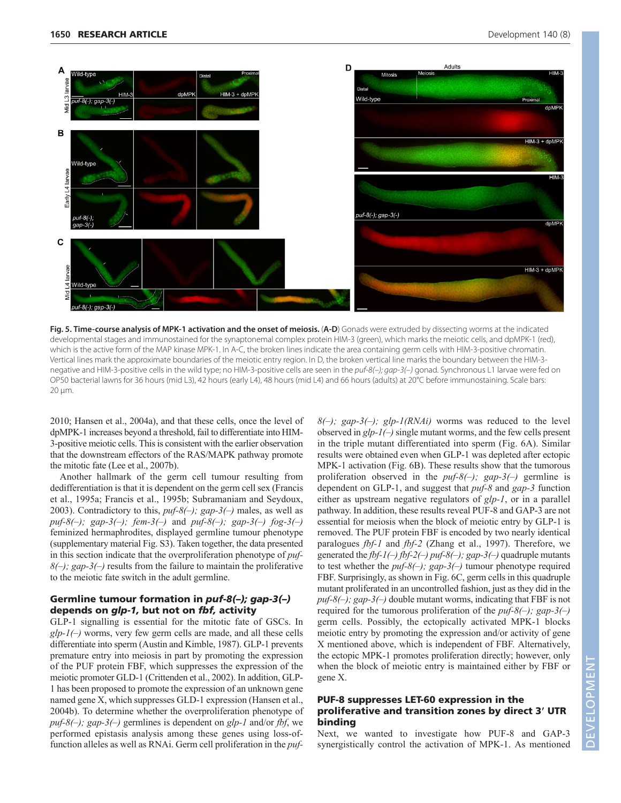

**Fig. 5. Time-course analysis of MPK-1 activation and the onset of meiosis.** (**A-D**) Gonads were extruded by dissecting worms at the indicated developmental stages and immunostained for the synaptonemal complex protein HIM-3 (green), which marks the meiotic cells, and dpMPK-1 (red), which is the active form of the MAP kinase MPK-1. In A-C, the broken lines indicate the area containing germ cells with HIM-3-positive chromatin. Vertical lines mark the approximate boundaries of the meiotic entry region. In D, the broken vertical line marks the boundary between the HIM-3 negative and HIM-3-positive cells in the wild type; no HIM-3-positive cells are seen in the puf-8(-); qap-3(-) gonad. Synchronous L1 larvae were fed on OP50 bacterial lawns for 36 hours (mid L3), 42 hours (early L4), 48 hours (mid L4) and 66 hours (adults) at 20°C before immunostaining. Scale bars: 20 μm.

2010; Hansen et al., 2004a), and that these cells, once the level of dpMPK-1 increases beyond a threshold, fail to differentiate into HIM-3-positive meiotic cells. This is consistent with the earlier observation that the downstream effectors of the RAS/MAPK pathway promote the mitotic fate (Lee et al., 2007b).

Another hallmark of the germ cell tumour resulting from dedifferentiation is that it is dependent on the germ cell sex (Francis et al., 1995a; Francis et al., 1995b; Subramaniam and Seydoux, 2003). Contradictory to this, *puf-8(–); gap-3(–)* males, as well as *puf-8(–); gap-3(–); fem-3(–)* and *puf-8(–); gap-3(–) fog-3(–)* feminized hermaphrodites, displayed germline tumour phenotype (supplementary material Fig. S3). Taken together, the data presented in this section indicate that the overproliferation phenotype of *puf-8(–); gap-3(–)* results from the failure to maintain the proliferative to the meiotic fate switch in the adult germline.

# Germline tumour formation in *puf-8(–); gap-3(–)* depends on *glp-1,* but not on *fbf,* activity

GLP-1 signalling is essential for the mitotic fate of GSCs. In *glp-1(–)* worms, very few germ cells are made, and all these cells differentiate into sperm (Austin and Kimble, 1987). GLP-1 prevents premature entry into meiosis in part by promoting the expression of the PUF protein FBF, which suppresses the expression of the meiotic promoter GLD-1 (Crittenden et al., 2002). In addition, GLP-1 has been proposed to promote the expression of an unknown gene named gene X, which suppresses GLD-1 expression (Hansen et al., 2004b). To determine whether the overproliferation phenotype of *puf-8(–); gap-3(–)* germlines is dependent on *glp-1* and/or *fbf*, we performed epistasis analysis among these genes using loss-offunction alleles as well as RNAi. Germ cell proliferation in the *puf-*  $8(-)$ ; gap-3(-); glp-1(RNAi) worms was reduced to the level observed in *glp-1(–)* single mutant worms, and the few cells present in the triple mutant differentiated into sperm (Fig. 6A). Similar results were obtained even when GLP-1 was depleted after ectopic MPK-1 activation (Fig. 6B). These results show that the tumorous proliferation observed in the *puf-8(–); gap-3(–)* germline is dependent on GLP-1, and suggest that *puf-8* and *gap-3* function either as upstream negative regulators of *glp-1*, or in a parallel pathway. In addition, these results reveal PUF-8 and GAP-3 are not essential for meiosis when the block of meiotic entry by GLP-1 is removed. The PUF protein FBF is encoded by two nearly identical paralogues *fbf-1* and *fbf-2* (Zhang et al., 1997). Therefore, we generated the *fbf-1(–) fbf-2(–) puf-8(–); gap-3(–)* quadruple mutants to test whether the *puf-8(–); gap-3(–)* tumour phenotype required FBF. Surprisingly, as shown in Fig. 6C, germ cells in this quadruple mutant proliferated in an uncontrolled fashion, just as they did in the *puf-8(–); gap-3(–)* double mutant worms, indicating that FBF is not required for the tumorous proliferation of the *puf-8(–); gap-3(–)* germ cells. Possibly, the ectopically activated MPK-1 blocks meiotic entry by promoting the expression and/or activity of gene X mentioned above, which is independent of FBF. Alternatively, the ectopic MPK-1 promotes proliferation directly; however, only when the block of meiotic entry is maintained either by FBF or gene X.

# PUF-8 suppresses LET-60 expression in the proliferative and transition zones by direct 3' UTR binding

Next, we wanted to investigate how PUF-8 and GAP-3 synergistically control the activation of MPK-1. As mentioned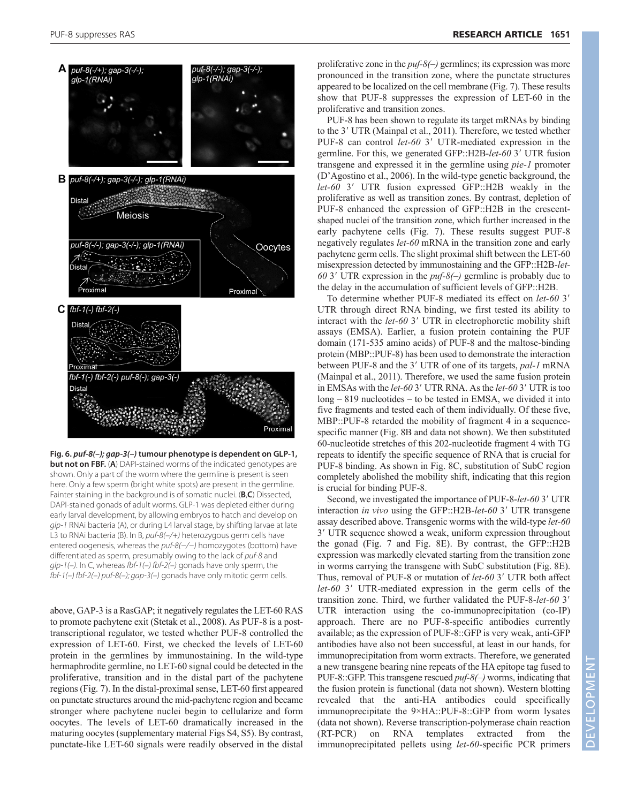

**Fig. 6. puf-8(–); gap-3(–) tumour phenotype is dependent on GLP-1, but not on FBF.** (A) DAPI-stained worms of the indicated genotypes are shown. Only a part of the worm where the germline is present is seen here. Only a few sperm (bright white spots) are present in the germline. Fainter staining in the background is of somatic nuclei. (**B**,**C**) Dissected, DAPI-stained gonads of adult worms. GLP-1 was depleted either during early larval development, by allowing embryos to hatch and develop on glp-1 RNAi bacteria (A), or during L4 larval stage, by shifting larvae at late L3 to RNAi bacteria (B). In B, puf-8(-/+) heterozygous germ cells have entered oogenesis, whereas the puf-8(-/-) homozygotes (bottom) have differentiated as sperm, presumably owing to the lack of puf-8 and glp-1(-). In C, whereas fbf-1(-) fbf-2(-) gonads have only sperm, the fbf-1(–) fbf-2(–) puf-8(–); gap-3(–) gonads have only mitotic germ cells.

above, GAP-3 is a RasGAP; it negatively regulates the LET-60 RAS to promote pachytene exit (Stetak et al., 2008). As PUF-8 is a posttranscriptional regulator, we tested whether PUF-8 controlled the expression of LET-60. First, we checked the levels of LET-60 protein in the germlines by immunostaining. In the wild-type hermaphrodite germline, no LET-60 signal could be detected in the proliferative, transition and in the distal part of the pachytene regions (Fig. 7). In the distal-proximal sense, LET-60 first appeared on punctate structures around the mid-pachytene region and became stronger where pachytene nuclei begin to cellularize and form oocytes. The levels of LET-60 dramatically increased in the maturing oocytes (supplementary material Figs S4, S5). By contrast, punctate-like LET-60 signals were readily observed in the distal proliferative zone in the *puf-8(–)* germlines; its expression was more pronounced in the transition zone, where the punctate structures appeared to be localized on the cell membrane (Fig. 7). These results show that PUF-8 suppresses the expression of LET-60 in the proliferative and transition zones.

PUF-8 has been shown to regulate its target mRNAs by binding to the 3' UTR (Mainpal et al., 2011). Therefore, we tested whether PUF-8 can control *let-60* 3' UTR-mediated expression in the germline. For this, we generated GFP::H2B-let-60<sup>3</sup>' UTR fusion transgene and expressed it in the germline using *pie-1* promoter (D'Agostino et al., 2006). In the wild-type genetic background, the let-60<sup>3</sup> UTR fusion expressed GFP::H2B weakly in the proliferative as well as transition zones. By contrast, depletion of PUF-8 enhanced the expression of GFP::H2B in the crescentshaped nuclei of the transition zone, which further increased in the early pachytene cells (Fig. 7). These results suggest PUF-8 negatively regulates *let-60* mRNA in the transition zone and early pachytene germ cells. The slight proximal shift between the LET-60 misexpression detected by immunostaining and the GFP::H2B-*let-*60 3' UTR expression in the  $puf-8$ (–) germline is probably due to the delay in the accumulation of sufficient levels of GFP::H2B.

To determine whether PUF-8 mediated its effect on *let-60* 3' UTR through direct RNA binding, we first tested its ability to interact with the *let-60* 3' UTR in electrophoretic mobility shift assays (EMSA). Earlier, a fusion protein containing the PUF domain (171-535 amino acids) of PUF-8 and the maltose-binding protein (MBP::PUF-8) has been used to demonstrate the interaction between PUF-8 and the 3' UTR of one of its targets, pal-1 mRNA (Mainpal et al., 2011). Therefore, we used the same fusion protein in EMSAs with the *let-60* 3' UTR RNA. As the *let-60* 3' UTR is too long – 819 nucleotides – to be tested in EMSA, we divided it into five fragments and tested each of them individually. Of these five, MBP::PUF-8 retarded the mobility of fragment 4 in a sequencespecific manner (Fig. 8B and data not shown). We then substituted 60-nucleotide stretches of this 202-nucleotide fragment 4 with TG repeats to identify the specific sequence of RNA that is crucial for PUF-8 binding. As shown in Fig. 8C, substitution of SubC region completely abolished the mobility shift, indicating that this region is crucial for binding PUF-8.

Second, we investigated the importance of PUF-8-let-60 3' UTR interaction *in vivo* using the GFP::H2B-let-60 3' UTR transgene assay described above. Transgenic worms with the wild-type *let-60* 3' UTR sequence showed a weak, uniform expression throughout the gonad (Fig. 7 and Fig. 8E). By contrast, the GFP::H2B expression was markedly elevated starting from the transition zone in worms carrying the transgene with SubC substitution (Fig. 8E). Thus, removal of PUF-8 or mutation of let-60 3' UTR both affect let-60 3' UTR-mediated expression in the germ cells of the transition zone. Third, we further validated the PUF-8-*let-60* 3-UTR interaction using the co-immunoprecipitation (co-IP) approach. There are no PUF-8-specific antibodies currently available; as the expression of PUF-8::GFP is very weak, anti-GFP antibodies have also not been successful, at least in our hands, for immunoprecipitation from worm extracts. Therefore, we generated a new transgene bearing nine repeats of the HA epitope tag fused to PUF-8::GFP. This transgene rescued *puf-8(–)* worms, indicating that the fusion protein is functional (data not shown). Western blotting revealed that the anti-HA antibodies could specifically immunoprecipitate the 9×HA::PUF-8::GFP from worm lysates (data not shown). Reverse transcription-polymerase chain reaction (RT-PCR) on RNA templates extracted from the immunoprecipitated pellets using *let-60*-specific PCR primers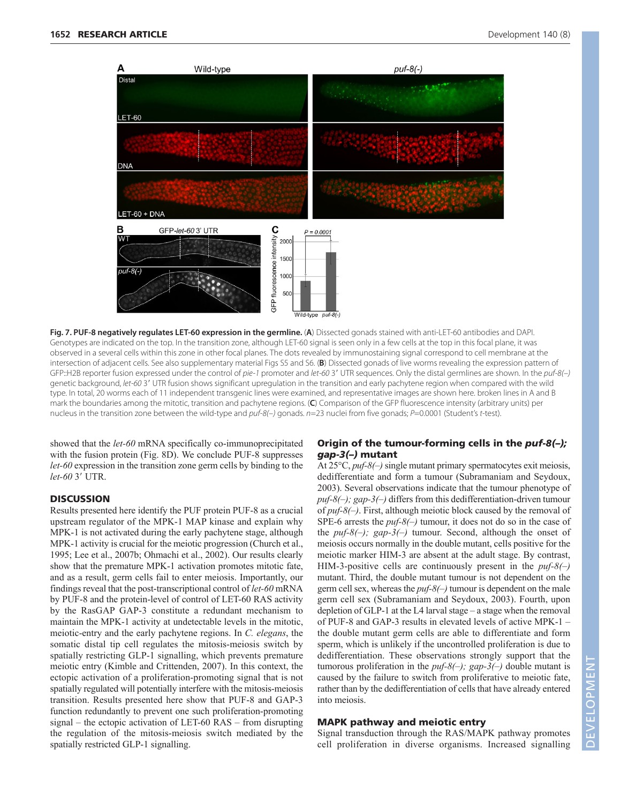

**Fig. 7. PUF-8 negatively regulates LET-60 expression in the germline.** (**A**) Dissected gonads stained with anti-LET-60 antibodies and DAPI. Genotypes are indicated on the top. In the transition zone, although LET-60 signal is seen only in a few cells at the top in this focal plane, it was observed in a several cells within this zone in other focal planes. The dots revealed by immunostaining signal correspond to cell membrane at the intersection of adjacent cells. See also supplementary material Figs S5 and S6. (**B**) Dissected gonads of live worms revealing the expression pattern of GFP::H2B reporter fusion expressed under the control of pie-1 promoter and let-60 3' UTR sequences. Only the distal germlines are shown. In the puf-8(-) genetic background, let-60 3' UTR fusion shows significant upregulation in the transition and early pachytene region when compared with the wild type. In total, 20 worms each of 11 independent transgenic lines were examined, and representative images are shown here. broken lines in A and B mark the boundaries among the mitotic, transition and pachytene regions. (**C**) Comparison of the GFP fluorescence intensity (arbitrary units) per nucleus in the transition zone between the wild-type and puf-8(-) gonads. n=23 nuclei from five gonads; P=0.0001 (Student's t-test).

showed that the *let-60* mRNA specifically co-immunoprecipitated with the fusion protein (Fig. 8D). We conclude PUF-8 suppresses *let-60* expression in the transition zone germ cells by binding to the let-60<sup>3'</sup> UTR.

## **DISCUSSION**

Results presented here identify the PUF protein PUF-8 as a crucial upstream regulator of the MPK-1 MAP kinase and explain why MPK-1 is not activated during the early pachytene stage, although MPK-1 activity is crucial for the meiotic progression (Church et al., 1995; Lee et al., 2007b; Ohmachi et al., 2002). Our results clearly show that the premature MPK-1 activation promotes mitotic fate, and as a result, germ cells fail to enter meiosis. Importantly, our findings reveal that the post-transcriptional control of *let-60* mRNA by PUF-8 and the protein-level of control of LET-60 RAS activity by the RasGAP GAP-3 constitute a redundant mechanism to maintain the MPK-1 activity at undetectable levels in the mitotic, meiotic-entry and the early pachytene regions. In *C. elegans*, the somatic distal tip cell regulates the mitosis-meiosis switch by spatially restricting GLP-1 signalling, which prevents premature meiotic entry (Kimble and Crittenden, 2007). In this context, the ectopic activation of a proliferation-promoting signal that is not spatially regulated will potentially interfere with the mitosis-meiosis transition. Results presented here show that PUF-8 and GAP-3 function redundantly to prevent one such proliferation-promoting signal – the ectopic activation of LET-60 RAS – from disrupting the regulation of the mitosis-meiosis switch mediated by the spatially restricted GLP-1 signalling.

# Origin of the tumour-forming cells in the *puf-8(–); gap-3(–)* mutant

At 25°C, *puf-8(–)*single mutant primary spermatocytes exit meiosis, dedifferentiate and form a tumour (Subramaniam and Seydoux, 2003). Several observations indicate that the tumour phenotype of *puf-8(–); gap-3(–)* differs from this dedifferentiation-driven tumour of *puf-8(–)*. First, although meiotic block caused by the removal of SPE-6 arrests the *puf-8(–)* tumour, it does not do so in the case of the *puf-8(–); gap-3(–)* tumour. Second, although the onset of meiosis occurs normally in the double mutant, cells positive for the meiotic marker HIM-3 are absent at the adult stage. By contrast, HIM-3-positive cells are continuously present in the *puf-8(–)* mutant. Third, the double mutant tumour is not dependent on the germ cell sex, whereas the *puf-8(–)* tumour is dependent on the male germ cell sex (Subramaniam and Seydoux, 2003). Fourth, upon depletion of GLP-1 at the L4 larval stage – a stage when the removal of PUF-8 and GAP-3 results in elevated levels of active MPK-1 – the double mutant germ cells are able to differentiate and form sperm, which is unlikely if the uncontrolled proliferation is due to dedifferentiation. These observations strongly support that the tumorous proliferation in the *puf-8(–); gap-3(–)* double mutant is caused by the failure to switch from proliferative to meiotic fate, rather than by the dedifferentiation of cells that have already entered into meiosis.

## MAPK pathway and meiotic entry

Signal transduction through the RAS/MAPK pathway promotes cell proliferation in diverse organisms. Increased signalling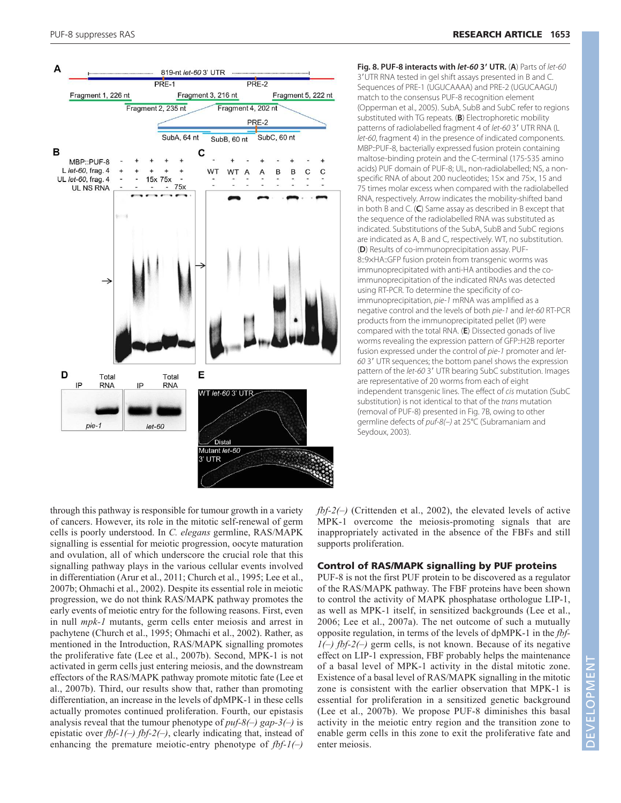

through this pathway is responsible for tumour growth in a variety of cancers. However, its role in the mitotic self-renewal of germ cells is poorly understood. In *C. elegans* germline, RAS/MAPK signalling is essential for meiotic progression, oocyte maturation and ovulation, all of which underscore the crucial role that this signalling pathway plays in the various cellular events involved in differentiation (Arur et al., 2011; Church et al., 1995; Lee et al., 2007b; Ohmachi et al., 2002). Despite its essential role in meiotic progression, we do not think RAS/MAPK pathway promotes the early events of meiotic entry for the following reasons. First, even in null *mpk-1* mutants, germ cells enter meiosis and arrest in pachytene (Church et al., 1995; Ohmachi et al., 2002). Rather, as mentioned in the Introduction, RAS/MAPK signalling promotes the proliferative fate (Lee et al., 2007b). Second, MPK-1 is not activated in germ cells just entering meiosis, and the downstream effectors of the RAS/MAPK pathway promote mitotic fate (Lee et al., 2007b). Third, our results show that, rather than promoting differentiation, an increase in the levels of dpMPK-1 in these cells actually promotes continued proliferation. Fourth, our epistasis analysis reveal that the tumour phenotype of *puf-8(–) gap-3(–)* is epistatic over *fbf-1(–) fbf-2(–)*, clearly indicating that, instead of enhancing the premature meiotic-entry phenotype of *fbf-1(–)* 

**Fig. 8. PUF-8 interacts with let-60 3**- **UTR.** (**A**) Parts of let-60 3-UTR RNA tested in gel shift assays presented in B and C. Sequences of PRE-1 (UGUCAAAA) and PRE-2 (UGUCAAGU) match to the consensus PUF-8 recognition element (Opperman et al., 2005). SubA, SubB and SubC refer to regions substituted with TG repeats. (**B**) Electrophoretic mobility patterns of radiolabelled fragment 4 of let-60 3' UTR RNA (L let-60, fragment 4) in the presence of indicated components. MBP::PUF-8, bacterially expressed fusion protein containing maltose-binding protein and the C-terminal (175-535 amino acids) PUF domain of PUF-8; UL, non-radiolabelled; NS, a nonspecific RNA of about 200 nucleotides; 15× and 75×, 15 and 75 times molar excess when compared with the radiolabelled RNA, respectively. Arrow indicates the mobility-shifted band in both B and C. (**C**) Same assay as described in B except that the sequence of the radiolabelled RNA was substituted as indicated. Substitutions of the SubA, SubB and SubC regions are indicated as A, B and C, respectively. WT, no substitution. (**D**) Results of co-immunoprecipitation assay. PUF-8::9×HA::GFP fusion protein from transgenic worms was immunoprecipitated with anti-HA antibodies and the coimmunoprecipitation of the indicated RNAs was detected using RT-PCR. To determine the specificity of coimmunoprecipitation, pie-1 mRNA was amplified as a negative control and the levels of both pie-1 and let-60 RT-PCR products from the immunoprecipitated pellet (IP) were compared with the total RNA. (**E**) Dissected gonads of live worms revealing the expression pattern of GFP::H2B reporter fusion expressed under the control of pie-1 promoter and let-60 3' UTR sequences; the bottom panel shows the expression pattern of the let-60 3' UTR bearing SubC substitution. Images are representative of 20 worms from each of eight independent transgenic lines. The effect of cis mutation (SubC substitution) is not identical to that of the trans mutation (removal of PUF-8) presented in Fig. 7B, owing to other germline defects of puf-8(-) at 25°C (Subramaniam and Seydoux, 2003).

*fbf-2(–)* (Crittenden et al., 2002), the elevated levels of active MPK-1 overcome the meiosis-promoting signals that are inappropriately activated in the absence of the FBFs and still supports proliferation.

# Control of RAS/MAPK signalling by PUF proteins

PUF-8 is not the first PUF protein to be discovered as a regulator of the RAS/MAPK pathway. The FBF proteins have been shown to control the activity of MAPK phosphatase orthologue LIP-1, as well as MPK-1 itself, in sensitized backgrounds (Lee et al., 2006; Lee et al., 2007a). The net outcome of such a mutually opposite regulation, in terms of the levels of dpMPK-1 in the *fbf-1(–) fbf-2(–)* germ cells, is not known. Because of its negative effect on LIP-1 expression, FBF probably helps the maintenance of a basal level of MPK-1 activity in the distal mitotic zone. Existence of a basal level of RAS/MAPK signalling in the mitotic zone is consistent with the earlier observation that MPK-1 is essential for proliferation in a sensitized genetic background (Lee et al., 2007b). We propose PUF-8 diminishes this basal activity in the meiotic entry region and the transition zone to enable germ cells in this zone to exit the proliferative fate and enter meiosis.